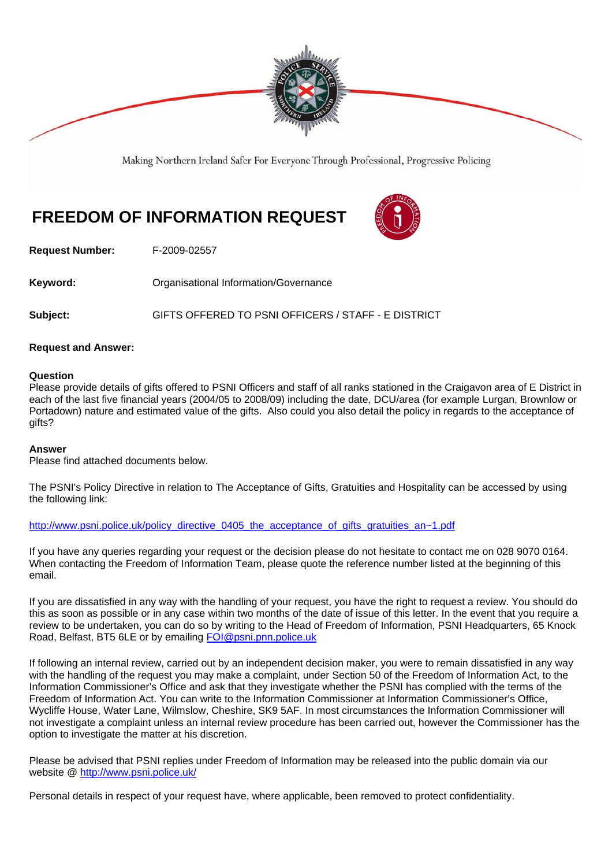

Making Northern Ireland Safer For Everyone Through Professional, Progressive Policing

# **FREEDOM OF INFORMATION REQUEST**



**Request Number:** F-2009-02557

**Keyword: Communistry Communistional Information/Governance** 

**Subject:** GIFTS OFFERED TO PSNI OFFICERS / STAFF - E DISTRICT

#### **Request and Answer:**

#### **Question**

Please provide details of gifts offered to PSNI Officers and staff of all ranks stationed in the Craigavon area of E District in each of the last five financial years (2004/05 to 2008/09) including the date, DCU/area (for example Lurgan, Brownlow or Portadown) nature and estimated value of the gifts. Also could you also detail the policy in regards to the acceptance of gifts?

#### **Answer**

Please find attached documents below.

The PSNI's Policy Directive in relation to The Acceptance of Gifts, Gratuities and Hospitality can be accessed by using the following link:

http://www.psni.police.uk/policy\_directive\_0405\_the\_acceptance\_of\_gifts\_gratuities\_an~1.pdf

If you have any queries regarding your request or the decision please do not hesitate to contact me on 028 9070 0164. When contacting the Freedom of Information Team, please quote the reference number listed at the beginning of this email.

If you are dissatisfied in any way with the handling of your request, you have the right to request a review. You should do this as soon as possible or in any case within two months of the date of issue of this letter. In the event that you require a review to be undertaken, you can do so by writing to the Head of Freedom of Information, PSNI Headquarters, 65 Knock Road, Belfast, BT5 6LE or by emailing FOI@psni.pnn.police.uk

If following an internal review, carried out by an independent decision maker, you were to remain dissatisfied in any way with the handling of the request you may make a complaint, under Section 50 of the Freedom of Information Act, to the Information Commissioner's Office and ask that they investigate whether the PSNI has complied with the terms of the Freedom of Information Act. You can write to the Information Commissioner at Information Commissioner's Office, Wycliffe House, Water Lane, Wilmslow, Cheshire, SK9 5AF. In most circumstances the Information Commissioner will not investigate a complaint unless an internal review procedure has been carried out, however the Commissioner has the option to investigate the matter at his discretion.

Please be advised that PSNI replies under Freedom of Information may be released into the public domain via our website @ http://www.psni.police.uk/

Personal details in respect of your request have, where applicable, been removed to protect confidentiality.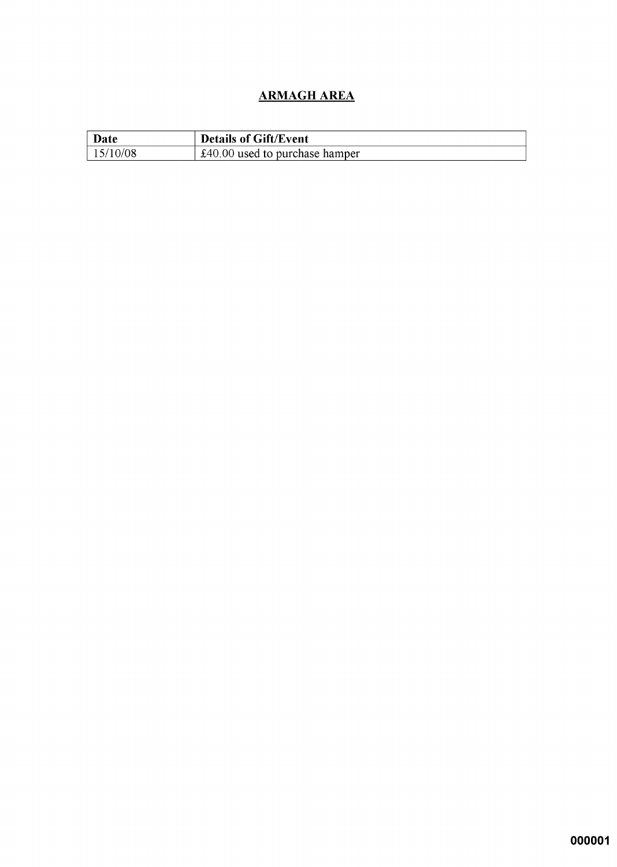## **ARMAGH AREA**

| Date     | <b>Details of Gift/Event</b>     |
|----------|----------------------------------|
| 15/10/08 | $£40.00$ used to purchase hamper |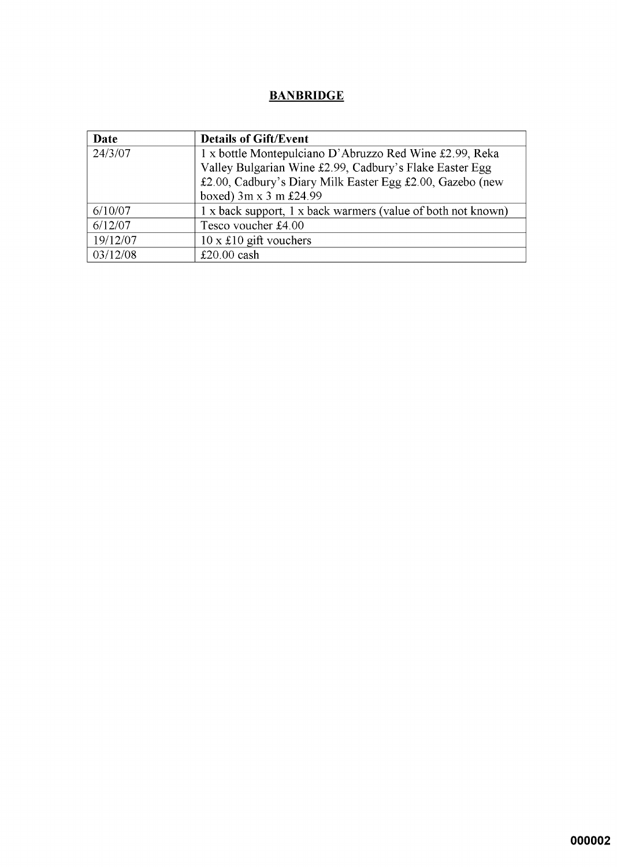### **BANBRIDGE**

| Date     | <b>Details of Gift/Event</b>                                 |
|----------|--------------------------------------------------------------|
| 24/3/07  | 1 x bottle Montepulciano D'Abruzzo Red Wine £2.99, Reka      |
|          | Valley Bulgarian Wine £2.99, Cadbury's Flake Easter Egg      |
|          | £2.00, Cadbury's Diary Milk Easter Egg £2.00, Gazebo (new    |
|          | boxed) 3m x 3 m £24.99                                       |
| 6/10/07  | 1 x back support, 1 x back warmers (value of both not known) |
| 6/12/07  | Tesco voucher £4.00                                          |
| 19/12/07 | $10 \times £10$ gift vouchers                                |
| 03/12/08 | £20.00 $\cosh$                                               |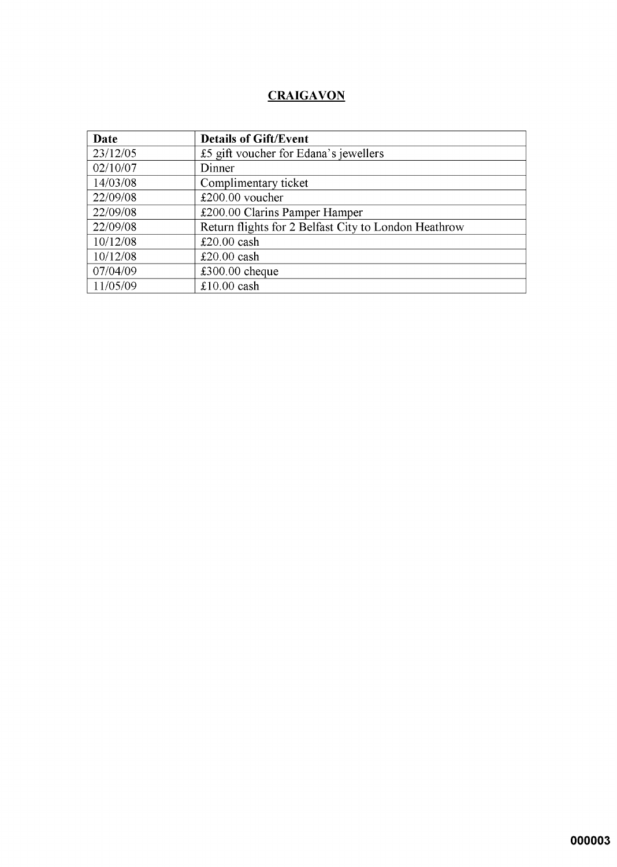## **CRAIGAVON**

| Date     | <b>Details of Gift/Event</b>                         |
|----------|------------------------------------------------------|
| 23/12/05 | £5 gift voucher for Edana's jewellers                |
| 02/10/07 | Dinner                                               |
| 14/03/08 | Complimentary ticket                                 |
| 22/09/08 | £200.00 voucher                                      |
| 22/09/08 | £200.00 Clarins Pamper Hamper                        |
| 22/09/08 | Return flights for 2 Belfast City to London Heathrow |
| 10/12/08 | £20.00 $\cosh$                                       |
| 10/12/08 | $£20.00$ cash                                        |
| 07/04/09 | $£300.00$ cheque                                     |
| 11/05/09 | $£10.00$ cash                                        |